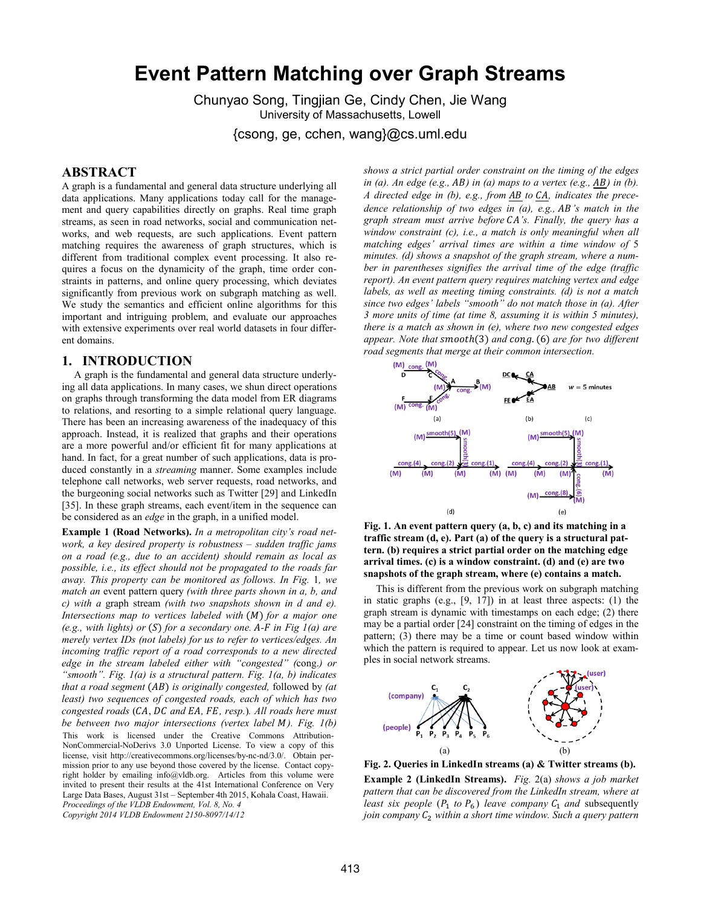# **Event Pattern Matching over Graph Streams**

Chunyao Song, Tingjian Ge, Cindy Chen, Jie Wang University of Massachusetts, Lowell

{csong, ge, cchen, wang}@cs.uml.edu

## **ABSTRACT**

A graph is a fundamental and general data structure underlying all data applications. Many applications today call for the management and query capabilities directly on graphs. Real time graph streams, as seen in road networks, social and communication networks, and web requests, are such applications. Event pattern matching requires the awareness of graph structures, which is different from traditional complex event processing. It also requires a focus on the dynamicity of the graph, time order constraints in patterns, and online query processing, which deviates significantly from previous work on subgraph matching as well. We study the semantics and efficient online algorithms for this important and intriguing problem, and evaluate our approaches with extensive experiments over real world datasets in four different domains.

## **1. INTRODUCTION**

A graph is the fundamental and general data structure underlying all data applications. In many cases, we shun direct operations on graphs through transforming the data model from ER diagrams to relations, and resorting to a simple relational query language. There has been an increasing awareness of the inadequacy of this approach. Instead, it is realized that graphs and their operations are a more powerful and/or efficient fit for many applications at hand. In fact, for a great number of such applications, data is produced constantly in a *streaming* manner. Some examples include telephone call networks, web server requests, road networks, and the burgeoning social networks such as Twitter [29] and LinkedIn [35]. In these graph streams, each event/item in the sequence can be considered as an *edge* in the graph, in a unified model.

**Example 1 (Road Networks).** *In a metropolitan city's road network, a key desired property is robustness – sudden traffic jams on a road (e.g., due to an accident) should remain as local as possible, i.e., its effect should not be propagated to the roads far away. This property can be monitored as follows. In Fig.* 1*, we match an* event pattern query *(with three parts shown in a, b, and c) with a* graph stream *(with two snapshots shown in d and e). Intersections map to vertices labeled with*  $(M)$  *for a major one (e.g., with lights) or*  $(S)$  *for a secondary one.* A-F in Fig  $1(a)$  are *merely vertex IDs (not labels) for us to refer to vertices/edges. An incoming traffic report of a road corresponds to a new directed edge in the stream labeled either with "congested" (*cong.*) or "smooth". Fig. 1(a) is a structural pattern. Fig. 1(a, b) indicates that a road segment* (AB) *is originally congested, followed by (at least) two sequences of congested roads, each of which has two congested roads* (CA, DC and EA, FE, resp.). All roads here must *be between two major intersections (vertex label ). Fig. 1(b)*  This work is licensed under the Creative Commons Attribution-NonCommercial-NoDerivs 3.0 Unported License. To view a copy of this license, visit http://creativecommons.org/licenses/by-nc-nd/3.0/. Obtain permission prior to any use beyond those covered by the license. Contact copyright holder by emailing info@vldb.org. Articles from this volume were invited to present their results at the 41st International Conference on Very Large Data Bases, August 31st – September 4th 2015, Kohala Coast, Hawaii. *Proceedings of the VLDB Endowment, Vol. 8, No. 4 Copyright 2014 VLDB Endowment 2150-8097/14/12*

*shows a strict partial order constraint on the timing of the edges in (a). An edge (e.g., AB) in (a) maps to a vertex (e.g., AB) in (b). A directed edge in (b), e.g., from AB to CA, indicates the precedence relationship of two edges in (a), e.g., 's match in the graph stream must arrive before 's. Finally, the query has a window constraint (c), i.e., a match is only meaningful when all matching edges' arrival times are within a time window of* 5 *minutes. (d) shows a snapshot of the graph stream, where a number in parentheses signifies the arrival time of the edge (traffic report). An event pattern query requires matching vertex and edge labels, as well as meeting timing constraints. (d) is not a match since two edges' labels "smooth" do not match those in (a). After 3 more units of time (at time 8, assuming it is within 5 minutes), there is a match as shown in (e), where two new congested edges appear. Note that smooth*(3) *and cong.* (6) *are for two different road segments that merge at their common intersection.*



**Fig. 1. An event pattern query (a, b, c) and its matching in a traffic stream (d, e). Part (a) of the query is a structural pattern. (b) requires a strict partial order on the matching edge arrival times. (c) is a window constraint. (d) and (e) are two snapshots of the graph stream, where (e) contains a match.**

This is different from the previous work on subgraph matching in static graphs (e.g., [9, 17]) in at least three aspects: (1) the graph stream is dynamic with timestamps on each edge; (2) there may be a partial order [24] constraint on the timing of edges in the pattern; (3) there may be a time or count based window within which the pattern is required to appear. Let us now look at examples in social network streams.



**Fig. 2. Queries in LinkedIn streams (a) & Twitter streams (b).**

**Example 2 (LinkedIn Streams).** *Fig.* 2(a) *shows a job market pattern that can be discovered from the LinkedIn stream, where at least six people*  $(P_1$  *to*  $P_6)$  *leave company*  $C_1$  *and* subsequently *join company* 2 *within a short time window. Such a query pattern*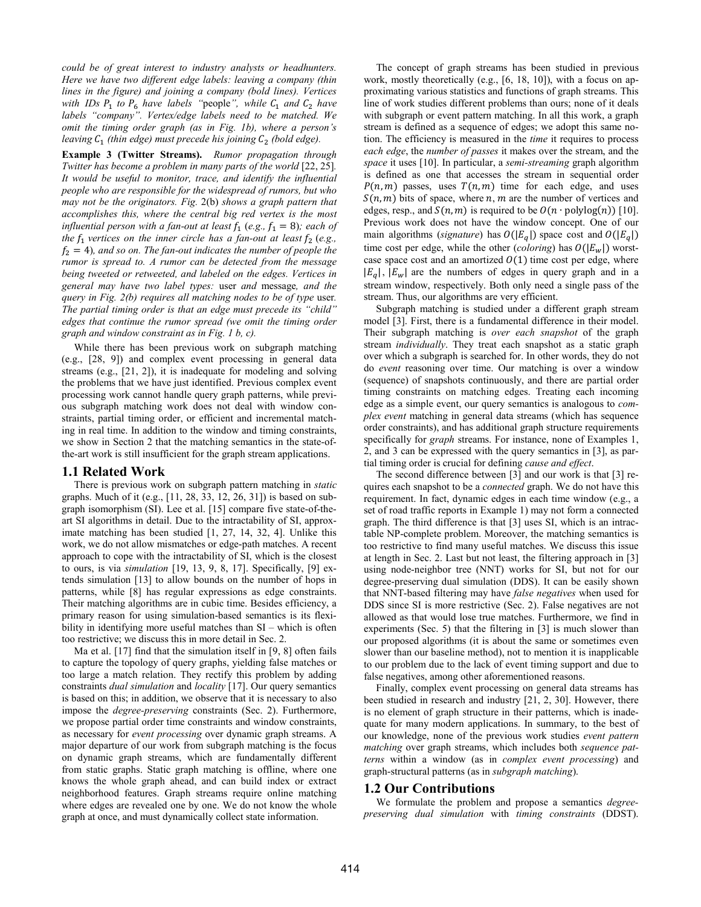*could be of great interest to industry analysts or headhunters. Here we have two different edge labels: leaving a company (thin lines in the figure) and joining a company (bold lines). Vertices with IDs*  $P_1$  *to*  $P_6$  *have labels* "people", while  $C_1$  *and*  $C_2$  *have cabels* "*company*". *Vertex/edge labels need to be matched. We omit the timing order graph (as in Fig. 1b), where a person's leaving*  $C_1$  *(thin edge)* must precede his joining  $C_2$  *(bold edge).* 

**Example 3 (Twitter Streams).** *Rumor propagation through Twitter has become a problem in many parts of the world* [22, 25]*. It would be useful to monitor, trace, and identify the influential people who are responsible for the widespread of rumors, but who may not be the originators. Fig.* 2(b) *shows a graph pattern that accomplishes this, where the central big red vertex is the most influential person with a fan-out at least*  $f_1$  (*e.g.,*  $f_1 = 8$ *); each of the*  $f_1$  *vertices on the inner circle has a fan-out at least*  $f_2$  (*e.g.,*  $f_2 = 4$ ), and so on. The fan-out indicates the number of people the *rumor is spread to. A rumor can be detected from the message being tweeted or retweeted, and labeled on the edges. Vertices in general may have two label types:* user *and* message*, and the query in Fig. 2(b) requires all matching nodes to be of type user. The partial timing order is that an edge must precede its "child" edges that continue the rumor spread (we omit the timing order graph and window constraint as in Fig. 1 b, c).*

While there has been previous work on subgraph matching (e.g., [28, 9]) and complex event processing in general data streams (e.g., [21, 2]), it is inadequate for modeling and solving the problems that we have just identified. Previous complex event processing work cannot handle query graph patterns, while previous subgraph matching work does not deal with window constraints, partial timing order, or efficient and incremental matching in real time. In addition to the window and timing constraints, we show in Section 2 that the matching semantics in the state-ofthe-art work is still insufficient for the graph stream applications.

## **1.1 Related Work**

There is previous work on subgraph pattern matching in *static* graphs. Much of it (e.g., [11, 28, 33, 12, 26, 31]) is based on subgraph isomorphism (SI). Lee et al. [15] compare five state-of-theart SI algorithms in detail. Due to the intractability of SI, approximate matching has been studied [1, 27, 14, 32, 4]. Unlike this work, we do not allow mismatches or edge-path matches. A recent approach to cope with the intractability of SI, which is the closest to ours, is via *simulation* [19, 13, 9, 8, 17]. Specifically, [9] extends simulation [13] to allow bounds on the number of hops in patterns, while [8] has regular expressions as edge constraints. Their matching algorithms are in cubic time. Besides efficiency, a primary reason for using simulation-based semantics is its flexibility in identifying more useful matches than SI – which is often too restrictive; we discuss this in more detail in Sec. 2.

Ma et al. [17] find that the simulation itself in [9, 8] often fails to capture the topology of query graphs, yielding false matches or too large a match relation. They rectify this problem by adding constraints *dual simulation* and *locality* [17]. Our query semantics is based on this; in addition, we observe that it is necessary to also impose the *degree-preserving* constraints (Sec. 2). Furthermore, we propose partial order time constraints and window constraints, as necessary for *event processing* over dynamic graph streams. A major departure of our work from subgraph matching is the focus on dynamic graph streams, which are fundamentally different from static graphs. Static graph matching is offline, where one knows the whole graph ahead, and can build index or extract neighborhood features. Graph streams require online matching where edges are revealed one by one. We do not know the whole graph at once, and must dynamically collect state information.

The concept of graph streams has been studied in previous work, mostly theoretically (e.g., [6, 18, 10]), with a focus on approximating various statistics and functions of graph streams. This line of work studies different problems than ours; none of it deals with subgraph or event pattern matching. In all this work, a graph stream is defined as a sequence of edges; we adopt this same notion. The efficiency is measured in the *time* it requires to process *each edge*, the *number of passes* it makes over the stream, and the *space* it uses [10]. In particular, a *semi-streaming* graph algorithm is defined as one that accesses the stream in sequential order  $P(n, m)$  passes, uses  $T(n, m)$  time for each edge, and uses  $S(n, m)$  bits of space, where n, m are the number of vertices and edges, resp., and  $S(n, m)$  is required to be  $O(n \cdot \text{polylog}(n))$  [10]. Previous work does not have the window concept. One of our main algorithms (*signature*) has  $O(|E_q|)$  space cost and  $O(|E_q|)$ time cost per edge, while the other (*coloring*) has  $O(|E_w|)$  worstcase space cost and an amortized  $O(1)$  time cost per edge, where  $|E_a|$ ,  $|E_w|$  are the numbers of edges in query graph and in a stream window, respectively. Both only need a single pass of the stream. Thus, our algorithms are very efficient.

Subgraph matching is studied under a different graph stream model [3]. First, there is a fundamental difference in their model. Their subgraph matching is *over each snapshot* of the graph stream *individually*. They treat each snapshot as a static graph over which a subgraph is searched for. In other words, they do not do *event* reasoning over time. Our matching is over a window (sequence) of snapshots continuously, and there are partial order timing constraints on matching edges. Treating each incoming edge as a simple event, our query semantics is analogous to *complex event* matching in general data streams (which has sequence order constraints), and has additional graph structure requirements specifically for *graph* streams. For instance, none of Examples 1, 2, and 3 can be expressed with the query semantics in [3], as partial timing order is crucial for defining *cause and effect*.

The second difference between [3] and our work is that [3] requires each snapshot to be a *connected* graph. We do not have this requirement. In fact, dynamic edges in each time window (e.g., a set of road traffic reports in Example 1) may not form a connected graph. The third difference is that [3] uses SI, which is an intractable NP-complete problem. Moreover, the matching semantics is too restrictive to find many useful matches. We discuss this issue at length in Sec. 2. Last but not least, the filtering approach in [3] using node-neighbor tree (NNT) works for SI, but not for our degree-preserving dual simulation (DDS). It can be easily shown that NNT-based filtering may have *false negatives* when used for DDS since SI is more restrictive (Sec. 2). False negatives are not allowed as that would lose true matches. Furthermore, we find in experiments (Sec. 5) that the filtering in [3] is much slower than our proposed algorithms (it is about the same or sometimes even slower than our baseline method), not to mention it is inapplicable to our problem due to the lack of event timing support and due to false negatives, among other aforementioned reasons.

Finally, complex event processing on general data streams has been studied in research and industry [21, 2, 30]. However, there is no element of graph structure in their patterns, which is inadequate for many modern applications. In summary, to the best of our knowledge, none of the previous work studies *event pattern matching* over graph streams, which includes both *sequence patterns* within a window (as in *complex event processing*) and graph-structural patterns (as in *subgraph matching*).

## **1.2 Our Contributions**

We formulate the problem and propose a semantics *degreepreserving dual simulation* with *timing constraints* (DDST).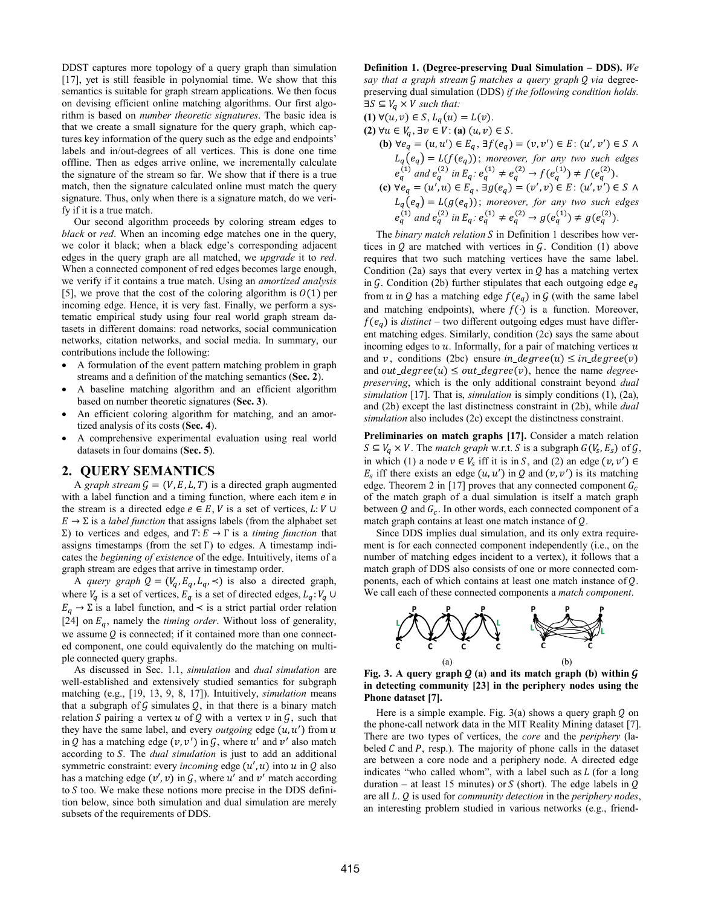DDST captures more topology of a query graph than simulation [17], yet is still feasible in polynomial time. We show that this semantics is suitable for graph stream applications. We then focus on devising efficient online matching algorithms. Our first algorithm is based on *number theoretic signatures*. The basic idea is that we create a small signature for the query graph, which captures key information of the query such as the edge and endpoints' labels and in/out-degrees of all vertices. This is done one time offline. Then as edges arrive online, we incrementally calculate the signature of the stream so far. We show that if there is a true match, then the signature calculated online must match the query signature. Thus, only when there is a signature match, do we verify if it is a true match.

Our second algorithm proceeds by coloring stream edges to *black* or *red*. When an incoming edge matches one in the query, we color it black; when a black edge's corresponding adjacent edges in the query graph are all matched, we *upgrade* it to *red*. When a connected component of red edges becomes large enough, we verify if it contains a true match. Using an *amortized analysis* [5], we prove that the cost of the coloring algorithm is  $O(1)$  per incoming edge. Hence, it is very fast. Finally, we perform a systematic empirical study using four real world graph stream datasets in different domains: road networks, social communication networks, citation networks, and social media. In summary, our contributions include the following:

- A formulation of the event pattern matching problem in graph streams and a definition of the matching semantics (**Sec. 2**).
- A baseline matching algorithm and an efficient algorithm based on number theoretic signatures (**Sec. 3**).
- An efficient coloring algorithm for matching, and an amortized analysis of its costs (**Sec. 4**).
- A comprehensive experimental evaluation using real world datasets in four domains (**Sec. 5**).

## **2. QUERY SEMANTICS**

A *graph stream*  $G = (V, E, L, T)$  is a directed graph augmented with a label function and a timing function, where each item  $e$  in the stream is a directed edge  $e \in E$ , V is a set of vertices,  $L: V \cup$  $E \rightarrow \Sigma$  is a *label function* that assigns labels (from the alphabet set Σ) to vertices and edges, and  $T$ :  $E$  → Γ is a *timing function* that assigns timestamps (from the set  $\Gamma$ ) to edges. A timestamp indicates the *beginning of existence* of the edge. Intuitively, items of a graph stream are edges that arrive in timestamp order.

A *query graph*  $Q = (V_q, E_q, L_q, \prec)$  is also a directed graph, where  $V_q$  is a set of vertices,  $E_q$  is a set of directed edges,  $L_q: V_q \cup$  $E_q \rightarrow \Sigma$  is a label function, and  $\prec$  is a strict partial order relation [24] on  $E_q$ , namely the *timing order*. Without loss of generality, we assume  $Q$  is connected; if it contained more than one connected component, one could equivalently do the matching on multiple connected query graphs.

As discussed in Sec. 1.1, *simulation* and *dual simulation* are well-established and extensively studied semantics for subgraph matching (e.g., [19, 13, 9, 8, 17]). Intuitively, *simulation* means that a subgraph of  $G$  simulates  $Q$ , in that there is a binary match relation S pairing a vertex  $u$  of  $Q$  with a vertex  $v$  in  $G$ , such that they have the same label, and every *outgoing* edge  $(u, u')$  from  $u$ in Q has a matching edge  $(v, v')$  in G, where u' and v' also match according to S. The *dual simulation* is just to add an additional symmetric constraint: every *incoming* edge  $(u', u)$  into  $u$  in  $Q$  also has a matching edge  $(v', v)$  in G, where u' and v' match according to  $S$  too. We make these notions more precise in the DDS definition below, since both simulation and dual simulation are merely subsets of the requirements of DDS.

**Definition 1. (Degree-preserving Dual Simulation – DDS).** *We say that a graph stream matches a query graph via* degreepreserving dual simulation (DDS) *if the following condition holds.*   $\exists S \subseteq V_q \times V$  such that:

- **(1)** ∀(*u*, *v*) ∈ *S*,  $L_q(u) = L(v)$ .
- **(2)**  $\forall u \in V_q$ ,  $\exists v \in V$ : **(a)**  $(u, v) \in S$ .
	- **(b)**  $\forall e_q = (u, u') \in E_q$ ,  $\exists f(e_q) = (v, v') \in E$ :  $(u', v') \in S \land$  $L_q(e_q) = L(f(e_q))$ ; *moreover, for any two such edges*  $e_q^{(1)}$  and  $e_q^{(2)}$  in  $E_q$ :  $e_q^{(1)} \neq e_q^{(2)} \rightarrow f(e_q^{(1)}) \neq f(e_q^{(2)})$ . (c)  $\forall e_q = (u', u) \in E_q$ ,  $\exists g(e_q) = (v', v) \in E$ :  $(u', v') \in S$  ∧
	- $L_q(e_q) = L(g(e_q))$ ; *moreover, for any two such edges*  $e_q^{(1)}$  and  $e_q^{(2)}$  in  $E_q$ :  $e_q^{(1)} \neq e_q^{(2)} \rightarrow g(e_q^{(1)}) \neq g(e_q^{(2)})$ .

The *binary match relation* S in Definition 1 describes how vertices in  $Q$  are matched with vertices in  $G$ . Condition (1) above requires that two such matching vertices have the same label. Condition (2a) says that every vertex in  $Q$  has a matching vertex in G. Condition (2b) further stipulates that each outgoing edge  $e_a$ from  $u$  in  $Q$  has a matching edge  $f(e_q)$  in  $G$  (with the same label and matching endpoints), where  $f(\cdot)$  is a function. Moreover,  $f(e_q)$  is *distinct* – two different outgoing edges must have different matching edges. Similarly, condition (2c) says the same about incoming edges to  $u$ . Informally, for a pair of matching vertices  $u$ and v, conditions (2bc) ensure  $in\_degree(u) \leq in\_degree(v)$ and  $out\_degree(u) \le out\_degree(v)$ , hence the name *degreepreserving*, which is the only additional constraint beyond *dual simulation* [17]. That is, *simulation* is simply conditions (1), (2a), and (2b) except the last distinctness constraint in (2b), while *dual simulation* also includes (2c) except the distinctness constraint.

**Preliminaries on match graphs [17].** Consider a match relation  $S \subseteq V_a \times V$ . The *match graph* w.r.t. *S* is a subgraph  $G(V_s, E_s)$  of  $G$ , in which (1) a node  $v \in V_s$  iff it is in S, and (2) an edge  $(v, v') \in$  $E_s$  iff there exists an edge  $(u, u')$  in Q and  $(v, v')$  is its matching edge. Theorem 2 in [17] proves that any connected component  $G_c$ of the match graph of a dual simulation is itself a match graph between Q and  $G_c$ . In other words, each connected component of a match graph contains at least one match instance of  $Q$ .

Since DDS implies dual simulation, and its only extra requirement is for each connected component independently (i.e., on the number of matching edges incident to a vertex), it follows that a match graph of DDS also consists of one or more connected components, each of which contains at least one match instance of  $Q$ . We call each of these connected components a *match component*.



Fig. 3. A query graph  $Q$  (a) and its match graph (b) within  $G$ **in detecting community [23] in the periphery nodes using the Phone dataset [7].**

Here is a simple example. Fig.  $3(a)$  shows a query graph  $Q$  on the phone-call network data in the MIT Reality Mining dataset [7]. There are two types of vertices, the *core* and the *periphery* (labeled  $C$  and  $P$ , resp.). The majority of phone calls in the dataset are between a core node and a periphery node. A directed edge indicates "who called whom", with a label such as  $L$  (for a long duration – at least 15 minutes) or  $S$  (short). The edge labels in  $Q$ are all L. Q is used for *community detection* in the *periphery nodes*, an interesting problem studied in various networks (e.g., friend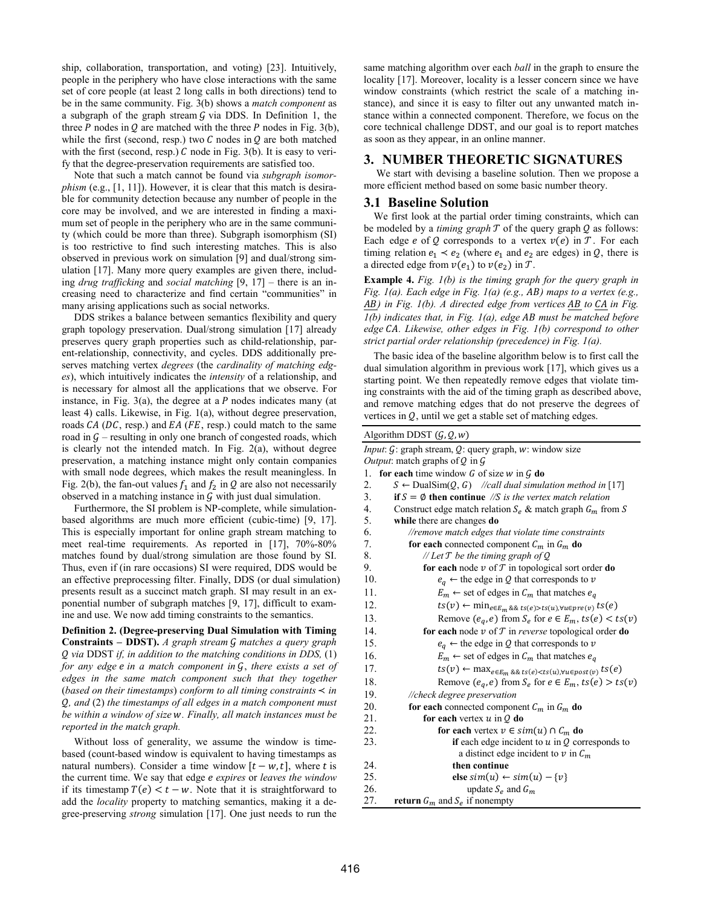ship, collaboration, transportation, and voting) [23]. Intuitively, people in the periphery who have close interactions with the same set of core people (at least 2 long calls in both directions) tend to be in the same community. Fig. 3(b) shows a *match component* as a subgraph of the graph stream  $\mathcal G$  via DDS. In Definition 1, the three  $P$  nodes in  $Q$  are matched with the three  $P$  nodes in Fig. 3(b), while the first (second, resp.) two  $C$  nodes in  $Q$  are both matched with the first (second, resp.)  $C$  node in Fig. 3(b). It is easy to verify that the degree-preservation requirements are satisfied too.

Note that such a match cannot be found via *subgraph isomorphism* (e.g., [1, 11]). However, it is clear that this match is desirable for community detection because any number of people in the core may be involved, and we are interested in finding a maximum set of people in the periphery who are in the same community (which could be more than three). Subgraph isomorphism (SI) is too restrictive to find such interesting matches. This is also observed in previous work on simulation [9] and dual/strong simulation [17]. Many more query examples are given there, including *drug trafficking* and *social matching* [9, 17] – there is an increasing need to characterize and find certain "communities" in many arising applications such as social networks.

DDS strikes a balance between semantics flexibility and query graph topology preservation. Dual/strong simulation [17] already preserves query graph properties such as child-relationship, parent-relationship, connectivity, and cycles. DDS additionally preserves matching vertex *degrees* (the *cardinality of matching edges*), which intuitively indicates the *intensity* of a relationship, and is necessary for almost all the applications that we observe. For instance, in Fig.  $3(a)$ , the degree at a P nodes indicates many (at least 4) calls. Likewise, in Fig. 1(a), without degree preservation, roads  $CA$  (DC, resp.) and  $EA$  (FE, resp.) could match to the same road in  $G$  – resulting in only one branch of congested roads, which is clearly not the intended match. In Fig. 2(a), without degree preservation, a matching instance might only contain companies with small node degrees, which makes the result meaningless. In Fig. 2(b), the fan-out values  $f_1$  and  $f_2$  in  $Q$  are also not necessarily observed in a matching instance in  $G$  with just dual simulation.

Furthermore, the SI problem is NP-complete, while simulationbased algorithms are much more efficient (cubic-time) [9, 17]. This is especially important for online graph stream matching to meet real-time requirements. As reported in [17], 70%-80% matches found by dual/strong simulation are those found by SI. Thus, even if (in rare occasions) SI were required, DDS would be an effective preprocessing filter. Finally, DDS (or dual simulation) presents result as a succinct match graph. SI may result in an exponential number of subgraph matches [9, 17], difficult to examine and use. We now add timing constraints to the semantics.

**Definition 2. (Degree-preserving Dual Simulation with Timing Constraints – DDST).** *A graph stream matches a query graph via* DDST *if, in addition to the matching conditions in DDS,* (1) *for any edge e in a match component in*  $\mathcal{G}$ *, there exists a set of edges in the same match component such that they together* (*based on their timestamps*) *conform to all timing constraints* ≺ *in , and* (2) *the timestamps of all edges in a match component must be within a window of size . Finally, all match instances must be reported in the match graph.*

Without loss of generality, we assume the window is timebased (count-based window is equivalent to having timestamps as natural numbers). Consider a time window  $[t - w, t]$ , where t is the current time. We say that edge *expires* or *leaves the window* if its timestamp  $T(e) < t - w$ . Note that it is straightforward to add the *locality* property to matching semantics, making it a degree-preserving *strong* simulation [17]. One just needs to run the same matching algorithm over each *ball* in the graph to ensure the locality [17]. Moreover, locality is a lesser concern since we have window constraints (which restrict the scale of a matching instance), and since it is easy to filter out any unwanted match instance within a connected component. Therefore, we focus on the core technical challenge DDST, and our goal is to report matches as soon as they appear, in an online manner.

#### **3. NUMBER THEORETIC SIGNATURES**

We start with devising a baseline solution. Then we propose a more efficient method based on some basic number theory.

#### **3.1 Baseline Solution**

We first look at the partial order timing constraints, which can be modeled by a *timing graph*  $T$  of the query graph  $Q$  as follows: Each edge *e* of Q corresponds to a vertex  $v(e)$  in  $T$ . For each timing relation  $e_1 < e_2$  (where  $e_1$  and  $e_2$  are edges) in  $Q$ , there is a directed edge from  $v(e_1)$  to  $v(e_2)$  in  $T$ .

**Example 4.** *Fig. 1(b) is the timing graph for the query graph in Fig.*  $1(a)$ *. Each edge in Fig.*  $1(a)$  (e.g.,  $AB$ ) maps to a vertex (e.g.,  $\overline{a}$ *) in Fig. 1(b). A directed edge from vertices to in Fig. 1(b) indicates that, in Fig. 1(a), edge AB must be matched before edge CA. Likewise, other edges in Fig. 1(b)* correspond to other *strict partial order relationship (precedence) in Fig. 1(a).*

The basic idea of the baseline algorithm below is to first call the dual simulation algorithm in previous work [17], which gives us a starting point. We then repeatedly remove edges that violate timing constraints with the aid of the timing graph as described above, and remove matching edges that do not preserve the degrees of vertices in  $Q$ , until we get a stable set of matching edges.

|                | Algorithm DDST $(G, Q, w)$                                                              |  |  |  |  |  |  |
|----------------|-----------------------------------------------------------------------------------------|--|--|--|--|--|--|
|                | <i>Input:</i> $G$ : graph stream, $Q$ : query graph, w: window size                     |  |  |  |  |  |  |
|                | <i>Output</i> : match graphs of Q in $\mathcal G$                                       |  |  |  |  |  |  |
| $\mathbf{1}$ . | for each time window $G$ of size $w$ in $G$ do                                          |  |  |  |  |  |  |
| 2.             | $S \leftarrow$ DualSim(Q, G) //call dual simulation method in [17]                      |  |  |  |  |  |  |
| 3.             | if $S = \emptyset$ then continue //S is the vertex match relation                       |  |  |  |  |  |  |
| 4.             | Construct edge match relation $S_e$ & match graph $G_m$ from S                          |  |  |  |  |  |  |
| 5.             | while there are changes do                                                              |  |  |  |  |  |  |
| 6.             | //remove match edges that violate time constraints                                      |  |  |  |  |  |  |
| 7.             | for each connected component $C_m$ in $G_m$ do                                          |  |  |  |  |  |  |
| 8.             | // Let $T$ be the timing graph of Q                                                     |  |  |  |  |  |  |
| 9.             | for each node $v$ of $T$ in topological sort order do                                   |  |  |  |  |  |  |
| 10.            | $e_q \leftarrow$ the edge in Q that corresponds to v                                    |  |  |  |  |  |  |
| 11.            | $E_m \leftarrow$ set of edges in $C_m$ that matches $e_q$                               |  |  |  |  |  |  |
| 12.            | $ts(v) \leftarrow \min_{e \in E_m} \&\, ts(e) > ts(u), \forall u \in pre(v) \; ts(e)$   |  |  |  |  |  |  |
| 13.            | Remove $(e_q, e)$ from $S_e$ for $e \in E_m$ , $ts(e) < ts(v)$                          |  |  |  |  |  |  |
| 14.            | for each node v of T in reverse topological order do                                    |  |  |  |  |  |  |
| 15.            | $e_q \leftarrow$ the edge in Q that corresponds to v                                    |  |  |  |  |  |  |
| 16.            | $E_m \leftarrow$ set of edges in $C_m$ that matches $e_a$                               |  |  |  |  |  |  |
| 17.            | $ts(v) \leftarrow \max_{e \in E_m}$ && $ts(e) \lt ts(u), \forall u \in post(v)$ $ts(e)$ |  |  |  |  |  |  |
| 18.            | Remove $(e_q, e)$ from $S_e$ for $e \in E_m$ , $ts(e) > ts(v)$                          |  |  |  |  |  |  |
| 19.            | //check degree preservation                                                             |  |  |  |  |  |  |
| 20.            | for each connected component $C_m$ in $G_m$ do                                          |  |  |  |  |  |  |
| 21.            | for each vertex $u$ in $Q$ do                                                           |  |  |  |  |  |  |
| 22.            | for each vertex $v \in sim(u) \cap C_m$ do                                              |  |  |  |  |  |  |
| 23.            | if each edge incident to $u$ in $Q$ corresponds to                                      |  |  |  |  |  |  |
|                | a distinct edge incident to $v$ in $C_m$                                                |  |  |  |  |  |  |
| 24.            | then continue                                                                           |  |  |  |  |  |  |
| 25.            | else $sim(u) \leftarrow sim(u) - \{v\}$                                                 |  |  |  |  |  |  |
| 26.            | update $S_e$ and $G_m$                                                                  |  |  |  |  |  |  |
| 27.            | <b>return</b> $G_m$ and $S_e$ if nonempty                                               |  |  |  |  |  |  |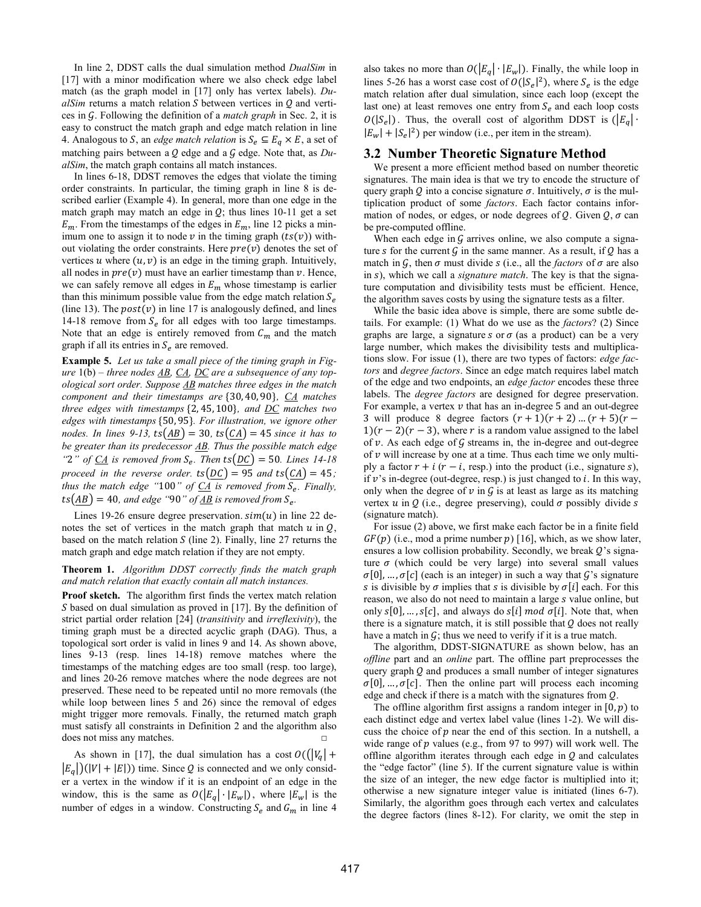In line 2, DDST calls the dual simulation method *DualSim* in [17] with a minor modification where we also check edge label match (as the graph model in [17] only has vertex labels). *Du* $aISim$  returns a match relation  $S$  between vertices in  $Q$  and vertices in G. Following the definition of a *match graph* in Sec. 2, it is easy to construct the match graph and edge match relation in line 4. Analogous to S, an *edge match relation* is  $S_e \subseteq E_q \times E$ , a set of matching pairs between a  $Q$  edge and a  $G$  edge. Note that, as  $Du$ *alSim*, the match graph contains all match instances.

In lines 6-18, DDST removes the edges that violate the timing order constraints. In particular, the timing graph in line 8 is described earlier (Example 4). In general, more than one edge in the match graph may match an edge in  $Q$ ; thus lines 10-11 get a set  $E_m$ . From the timestamps of the edges in  $E_m$ , line 12 picks a minimum one to assign it to node  $v$  in the timing graph ( $ts(v)$ ) without violating the order constraints. Here  $pre(v)$  denotes the set of vertices u where  $(u, v)$  is an edge in the timing graph. Intuitively, all nodes in  $pre(v)$  must have an earlier timestamp than v. Hence, we can safely remove all edges in  $E_m$  whose timestamp is earlier than this minimum possible value from the edge match relation  $S_e$ (line 13). The  $post(v)$  in line 17 is analogously defined, and lines 14-18 remove from  $S_e$  for all edges with too large timestamps. Note that an edge is entirely removed from  $C_m$  and the match graph if all its entries in  $S_e$  are removed.

**Example 5.** *Let us take a small piece of the timing graph in Figure* 1(b) *– three nodes AB, CA, DC are a subsequence of any topological sort order. Suppose AB matches three edges in the match component and their timestamps are* {30, 40, 90}*, CA matches three edges with timestamps* {2, 45, 100}*, and DC matches two edges with timestamps* {50, 95}*. For illustration, we ignore other nodes. In lines 9-13,*  $ts(AB) = 30$ ,  $ts(CA) = 45$  *since it has to be greater than its predecessor AB. Thus the possible match edge*  "2" of <u>CA</u> is removed from  $S_e$ . Then  $ts(DC) = 50$ . Lines 14-18 *proceed in the reverse order.*  $ts(DC) = 95$  *and*  $ts(CA) = 45$ ; *thus the match edge "*100" of  $\overline{CA}$  *is removed from*  $\overline{S_e}$ *. Finally,*  $ts(AB) = 40$ , and edge "90" of <u>AB</u> is removed from  $S_e$ .

Lines 19-26 ensure degree preservation.  $\sin(u)$  in line 22 denotes the set of vertices in the match graph that match  $u$  in  $Q$ , based on the match relation  $S$  (line 2). Finally, line 27 returns the match graph and edge match relation if they are not empty.

#### **Theorem 1.** *Algorithm DDST correctly finds the match graph and match relation that exactly contain all match instances.*

**Proof sketch.** The algorithm first finds the vertex match relation S based on dual simulation as proved in [17]. By the definition of strict partial order relation [24] (*transitivity* and *irreflexivity*), the timing graph must be a directed acyclic graph (DAG). Thus, a topological sort order is valid in lines 9 and 14. As shown above, lines 9-13 (resp. lines 14-18) remove matches where the timestamps of the matching edges are too small (resp. too large), and lines 20-26 remove matches where the node degrees are not preserved. These need to be repeated until no more removals (the while loop between lines 5 and 26) since the removal of edges might trigger more removals. Finally, the returned match graph must satisfy all constraints in Definition 2 and the algorithm also does not miss any matches.

As shown in [17], the dual simulation has a cost  $O((|V_a| +$  $|E_q|$ )( $|V| + |E|$ )) time. Since Q is connected and we only consider a vertex in the window if it is an endpoint of an edge in the window, this is the same as  $O(|E_q| \cdot |E_w|)$ , where  $|E_w|$  is the number of edges in a window. Constructing  $S_e$  and  $G_m$  in line 4

also takes no more than  $O(|E_q| \cdot |E_w|)$ . Finally, the while loop in lines 5-26 has a worst case cost of  $O(|S_e|^2)$ , where  $S_e$  is the edge match relation after dual simulation, since each loop (except the last one) at least removes one entry from  $S_e$  and each loop costs  $O(|S_e|)$ . Thus, the overall cost of algorithm DDST is  $(|E_a| \cdot$  $|E_w| + |S_e|^2$  per window (i.e., per item in the stream).

## **3.2 Number Theoretic Signature Method**

We present a more efficient method based on number theoretic signatures. The main idea is that we try to encode the structure of query graph Q into a concise signature  $\sigma$ . Intuitively,  $\sigma$  is the multiplication product of some *factors*. Each factor contains information of nodes, or edges, or node degrees of  $Q$ . Given  $Q$ ,  $\sigma$  can be pre-computed offline.

When each edge in  $G$  arrives online, we also compute a signature s for the current  $\varsigma$  in the same manner. As a result, if  $\varsigma$  has a match in  $\zeta$ , then  $\sigma$  must divide s (i.e., all the *factors* of  $\sigma$  are also in s), which we call a *signature match*. The key is that the signature computation and divisibility tests must be efficient. Hence, the algorithm saves costs by using the signature tests as a filter.

While the basic idea above is simple, there are some subtle details. For example: (1) What do we use as the *factors*? (2) Since graphs are large, a signature  $s$  or  $\sigma$  (as a product) can be a very large number, which makes the divisibility tests and multiplications slow. For issue (1), there are two types of factors: *edge factors* and *degree factors*. Since an edge match requires label match of the edge and two endpoints, an *edge factor* encodes these three labels. The *degree factors* are designed for degree preservation. For example, a vertex  $v$  that has an in-degree 5 and an out-degree 3 will produce 8 degree factors  $(r + 1)(r + 2)$  ...  $(r + 5)(r 1(r-2)(r-3)$ , where r is a random value assigned to the label of  $v$ . As each edge of  $G$  streams in, the in-degree and out-degree of  $\nu$  will increase by one at a time. Thus each time we only multiply a factor  $r + i$  ( $r - i$ , resp.) into the product (i.e., signature s), if  $v$ 's in-degree (out-degree, resp.) is just changed to *i*. In this way, only when the degree of  $\nu$  in  $\mathcal G$  is at least as large as its matching vertex  $u$  in  $Q$  (i.e., degree preserving), could  $\sigma$  possibly divide s (signature match).

For issue (2) above, we first make each factor be in a finite field  $GF(p)$  (i.e., mod a prime number p) [16], which, as we show later, ensures a low collision probability. Secondly, we break  $Q$ 's signature  $\sigma$  (which could be very large) into several small values  $\sigma[0], \ldots, \sigma[c]$  (each is an integer) in such a way that G's signature s is divisible by  $\sigma$  implies that s is divisible by  $\sigma[i]$  each. For this reason, we also do not need to maintain a large *s* value online, but only  $s[0], ..., s[c]$ , and always do  $s[i] \mod \sigma[i]$ . Note that, when there is a signature match, it is still possible that  $Q$  does not really have a match in  $\mathcal{G}$ ; thus we need to verify if it is a true match.

The algorithm, DDST-SIGNATURE as shown below, has an *offline* part and an *online* part. The offline part preprocesses the query graph  $Q$  and produces a small number of integer signatures  $\sigma[0], \ldots, \sigma[c]$ . Then the online part will process each incoming edge and check if there is a match with the signatures from  $Q$ .

The offline algorithm first assigns a random integer in  $[0, p)$  to each distinct edge and vertex label value (lines 1-2). We will discuss the choice of  $p$  near the end of this section. In a nutshell, a wide range of  $p$  values (e.g., from 97 to 997) will work well. The offline algorithm iterates through each edge in  $Q$  and calculates the "edge factor" (line 5). If the current signature value is within the size of an integer, the new edge factor is multiplied into it; otherwise a new signature integer value is initiated (lines 6-7). Similarly, the algorithm goes through each vertex and calculates the degree factors (lines 8-12). For clarity, we omit the step in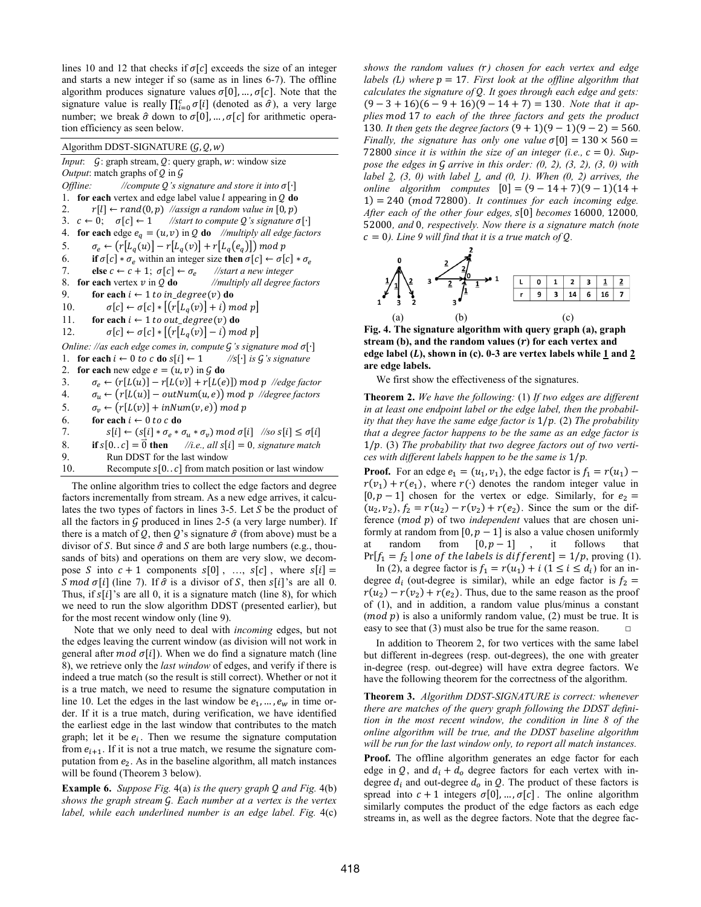lines 10 and 12 that checks if  $\sigma[c]$  exceeds the size of an integer and starts a new integer if so (same as in lines 6-7). The offline algorithm produces signature values  $\sigma[0]$ , ...,  $\sigma[c]$ . Note that the signature value is really  $\prod_{i=0}^{c} \sigma[i]$  (denoted as  $\hat{\sigma}$ ), a very large number; we break  $\hat{\sigma}$  down to  $\sigma[0], \dots, \sigma[c]$  for arithmetic operation efficiency as seen below.

Algorithm DDST-SIGNATURE  $(G, Q, w)$ 

*Input*:  $\mathcal{G}$ : graph stream,  $\mathcal{Q}$ : query graph, w: window size *Output*: match graphs of *Q* in *G*<br>*Offline:* //*compute Q's si Offline: //compute Q's signature and store it into σ*[⋅]<br>1 **for each** vertex and edge label value *l* appearing in *O* do 1. **for each** vertex and edge label value *l* appearing in  $Q$  **do** 2.  $r[l] \leftarrow rand(0, p)$  //assign a random value in [0, p] 2.  $r[l] \leftarrow rand(0, p)$  //assign a random value in [0, p)<br>3.  $c \leftarrow 0$ ;  $\sigma[c] \leftarrow 1$  //start to compute Q's signature 3. ← 0; [] ← 1 *//start to compute 's signature* [∙] 4. **for each** edge  $e_q = (u, v)$  in Q **do** //multiply all edge factors 5.  $\sigma_e \leftarrow (r[L_q(u)] - r[L_q(v)] + r[L_q(e_q)] \mod p$ <br>6. **if**  $\sigma[c] \times \sigma_e$  within an integer size **then**  $\sigma[c] \leftarrow \sigma[c]$ 6. **if**  $\sigma[c] * \sigma_e$  within an integer size **then**  $\sigma[c] \leftarrow \sigma[c] * \sigma_e$ <br>7. **else**  $c \leftarrow c + 1$ ;  $\sigma[c] \leftarrow \sigma_e$  //start a new integer 7. **else**  $c \leftarrow c + 1$ ;  $\sigma[c] \leftarrow \sigma_e$ <br>8. **for each** vertex v in Q **do** 8. **for each** vertex  $v$  in  $Q$  **do** *//multiply all degree factors*<br>9 **for each**  $i \leftarrow 1$  to in degree( $v$ ) **do** 9. **for each**  $i \leftarrow 1$  to in\_degree(v) **do**<br>10.  $\sigma[c] \leftarrow \sigma[c] * [(r[L_a(v)] + i) m]$ 10.  $\sigma[c] \leftarrow \sigma[c] * [(r[L_q(v)] + i) \mod p]$ <br>11. for each  $i \leftarrow 1$  to out\_degree(v) do 11. **for each**  $i \leftarrow 1$  to out\_degree(v) **do**<br>12.  $\sigma[c] \leftarrow \sigma[c] * [(r[L_a(v)] - i) mc$  $\sigma[c] \leftarrow \sigma[c] * [(r[L_a(v)] - i) \mod p]$ *Online: //as each edge comes in, compute*  $G$ 's signature *mod*  $\sigma[\cdot]$ <br>1. **for each**  $i \leftarrow 0$  to  $c$  **do**  $s[i] \leftarrow 1$  //s[·] is  $G$ 's signature 1. **for each**  $i \leftarrow 0$  *to c* **do**  $s[i] \leftarrow 1$ <br>
2. **for each** new edge *e* =  $(u, v)$  in 0 2. **for each** new edge  $e = (u, v)$  in  $\mathcal{G}$  **do**<br>3.  $\sigma_e \leftarrow (r[L(u)] - r[L(v)] + r[L(e$ 3.  $\sigma_e \leftarrow (r[L(u)] - r[L(v)] + r[L(e)] \mod p$  //edge factor<br>4.  $\sigma_v \leftarrow (r[L(u)] - outNum(u, e)) \mod p$  //degree factors 4.  $\sigma_u \leftarrow (r[L(u)] - outNum(u, e)) \mod p$  //degree factors<br>5.  $\sigma_v \leftarrow (r[L(v)] + inNum(v, e)) \mod p$ 5.  $\sigma_v \leftarrow (r[L(v)] + inNum(v, e)) \mod p$ <br>6. for each  $i \leftarrow 0$  to c do 6. **for each**  $i \leftarrow 0$  to c do<br>7.  $s[i] \leftarrow (s[i] * \sigma_e * \sigma_e)$ 7.  $s[i] \leftarrow (s[i] * \sigma_e * \sigma_u * \sigma_v) \mod \sigma[i] \quad \text{is } s[i] \leq \sigma[i]$ <br>8. **if**  $s[0, c] = \vec{0}$  **then**  $\quad \text{if } s[i] = 0$ , signature match 8. **if**  $s[0.. c] = \overline{0}$  **then** //*i.e., all*  $s[i] = 0$ *, signature match* 9. Run DDST for the last window 9. Run DDST for the last window 10. Recompute  $s[0.. c]$  from match position or last window

The online algorithm tries to collect the edge factors and degree factors incrementally from stream. As a new edge arrives, it calculates the two types of factors in lines  $3-5$ . Let S be the product of all the factors in  $G$  produced in lines 2-5 (a very large number). If there is a match of Q, then Q's signature  $\hat{\sigma}$  (from above) must be a divisor of S. But since  $\hat{\sigma}$  and S are both large numbers (e.g., thousands of bits) and operations on them are very slow, we decompose S into  $c + 1$  components  $s[0]$ , ...,  $s[c]$ , where  $s[i]$  $\int S \mod \sigma[i]$  (line 7). If  $\hat{\sigma}$  is a divisor of S, then s[i]'s are all 0. Thus, if  $s[i]'s$  are all 0, it is a signature match (line 8), for which we need to run the slow algorithm DDST (presented earlier), but for the most recent window only (line 9).

Note that we only need to deal with *incoming* edges, but not the edges leaving the current window (as division will not work in general after *mod*  $\sigma[i]$ ). When we do find a signature match (line 8), we retrieve only the *last window* of edges, and verify if there is indeed a true match (so the result is still correct). Whether or not it is a true match, we need to resume the signature computation in line 10. Let the edges in the last window be  $e_1, ..., e_w$  in time order. If it is a true match, during verification, we have identified the earliest edge in the last window that contributes to the match graph; let it be  $e_i$ . Then we resume the signature computation from  $e_{i+1}$ . If it is not a true match, we resume the signature computation from  $e_2$ . As in the baseline algorithm, all match instances will be found (Theorem 3 below).

**Example 6.** Suppose Fig. 4(a) is the query graph Q and Fig. 4(b) *shows the graph stream . Each number at a vertex is the vertex label, while each underlined number is an edge label. Fig.* 4(c) *shows the random values () chosen for each vertex and edge labels (L)* where  $p = 17$ *. First look at the offline algorithm that calculates the signature of . It goes through each edge and gets:*  (9 − 3 + 16)(6 − 9 + 16)(9 − 14 + 7) = 130*. Note that it applies mod 17 to each of the three factors and gets the product* 130*. It then gets the degree factors*  $(9 + 1)(9 - 1)(9 - 2) = 560$ . *Finally, the signature has only one value*  $\sigma[0] = 130 \times 560 =$ 72800 *since it is within the size of an integer (i.e.,*  $c = 0$ *). Suppose the edges in G arrive in this order: (0, 2), (3, 2), (3, 0) with label*  $\frac{2}{2}$ *, (3, 0) with label*  $\frac{1}{2}$ *, and (0, 1). When (0, 2) arrives, the online algorithm computes*  $[0] = (9 - 14 + 7)(9 - 1)(14 +$ 1) = 240 ( 72800)*. It continues for each incoming edge. After each of the other four edges,* [0] *becomes* 16000*,* 12000*,*  52000*, and* 0*, respectively. Now there is a signature match (note*   $c = 0$ ). Line 9 will find that it is a true match of Q.



**Fig. 4. The signature algorithm with query graph (a), graph stream (b), and the random values () for each vertex and edge label (** $L$ **), shown in (c).** 0-3 are vertex labels while  $\underline{1}$  and  $\underline{2}$ **are edge labels.**

We first show the effectiveness of the signatures.

**Theorem 2.** *We have the following:* (1) *If two edges are different in at least one endpoint label or the edge label, then the probability that they have the same edge factor is*  $1/p$ . (2) *The probability that a degree factor happens to be the same as an edge factor is*  1/p. (3) The probability that two degree factors out of two verti*ces with different labels happen to be the same is*  $1/p$ .

**Proof.** For an edge  $e_1 = (u_1, v_1)$ , the edge factor is  $f_1 = r(u_1)$  –  $r(v_1) + r(e_1)$ , where  $r(\cdot)$  denotes the random integer value in  $[0, p - 1]$  chosen for the vertex or edge. Similarly, for  $e_2 =$  $(u_2, v_2)$ ,  $f_2 = r(u_2) - r(v_2) + r(e_2)$ . Since the sum or the difference (*mod p*) of two *independent* values that are chosen uniformly at random from  $[0, p - 1]$  is also a value chosen uniformly<br>at random from  $[0, p - 1]$ , it follows that at random from  $[0, p - 1]$  $Pr[f_1 = f_2 \mid one \text{ of the labels is different}] = 1/p$ , proving (1).

In (2), a degree factor is  $f_1 = r(u_1) + i$  ( $1 \le i \le d_i$ ) for an indegree  $d_i$  (out-degree is similar), while an edge factor is  $f_2$  =  $r(u_2) - r(v_2) + r(e_2)$ . Thus, due to the same reason as the proof of (1), and in addition, a random value plus/minus a constant  $(mod p)$  is also a uniformly random value, (2) must be true. It is easy to see that  $(3)$  must also be true for the same reason.

In addition to Theorem 2, for two vertices with the same label but different in-degrees (resp. out-degrees), the one with greater in-degree (resp. out-degree) will have extra degree factors. We have the following theorem for the correctness of the algorithm.

**Theorem 3.** *Algorithm DDST-SIGNATURE is correct: whenever there are matches of the query graph following the DDST definition in the most recent window, the condition in line 8 of the online algorithm will be true, and the DDST baseline algorithm will be run for the last window only, to report all match instances.*

**Proof.** The offline algorithm generates an edge factor for each edge in Q, and  $d_i + d_o$  degree factors for each vertex with indegree  $d_i$  and out-degree  $d_o$  in Q. The product of these factors is spread into  $c + 1$  integers  $\sigma[0], \ldots, \sigma[c]$ . The online algorithm similarly computes the product of the edge factors as each edge streams in, as well as the degree factors. Note that the degree fac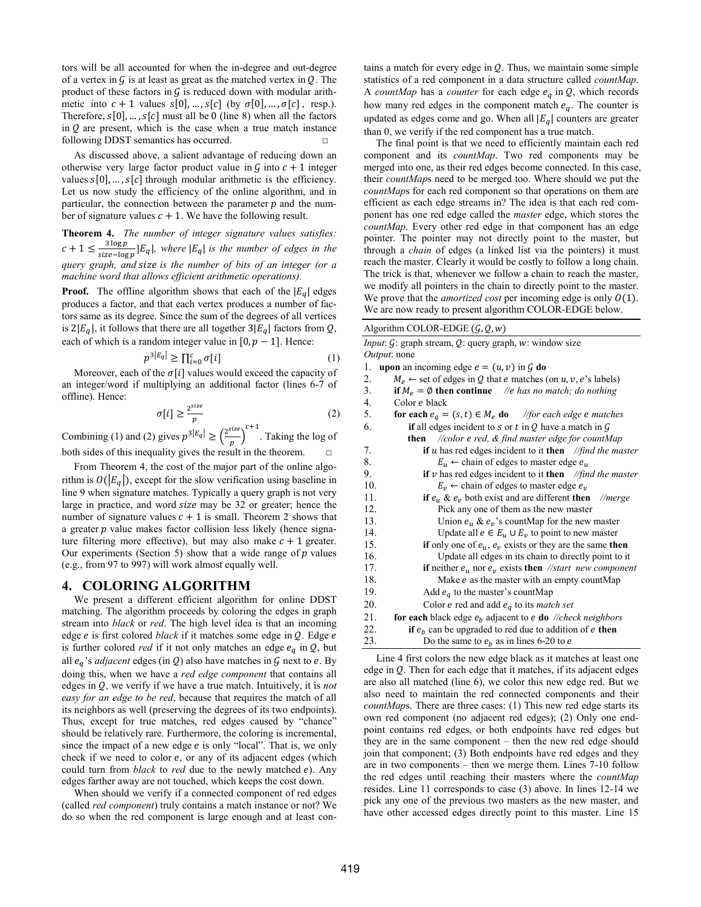tors will be all accounted for when the in-degree and out-degree of a vertex in  $\mathcal G$  is at least as great as the matched vertex in  $\mathcal Q$ . The product of these factors in  $\mathcal G$  is reduced down with modular arithmetic into  $c + 1$  values  $s[0], ..., s[c]$  (by  $\sigma[0], ..., \sigma[c]$ , resp.). Therefore,  $s[0]$ , ...,  $s[c]$  must all be 0 (line 8) when all the factors in  $Q$  are present, which is the case when a true match instance following DDST semantics has occurred. □

As discussed above, a salient advantage of reducing down an otherwise very large factor product value in  $G$  into  $c + 1$  integer values  $s[0], \ldots, s[c]$  through modular arithmetic is the efficiency. Let us now study the efficiency of the online algorithm, and in particular, the connection between the parameter  $p$  and the number of signature values  $c + 1$ . We have the following result.

**Theorem 4.** *The number of integer signature values satisfies:*   $c + 1 \leq \frac{3 \log p}{\sin^2(-\log p)} |E_q|$ , where  $|E_q|$  is the number of edges in the *query graph, and is the number of bits of an integer (or a machine word that allows efficient arithmetic operations).*

**Proof.** The offline algorithm shows that each of the  $|E_q|$  edges produces a factor, and that each vertex produces a number of factors same as its degree. Since the sum of the degrees of all vertices is  $2|E_a|$ , it follows that there are all together  $3|E_a|$  factors from  $Q$ , each of which is a random integer value in  $[0, p - 1]$ . Hence:

$$
p^{3|E_q|} \ge \prod_{i=0}^c \sigma[i] \tag{1}
$$

Moreover, each of the  $\sigma[i]$  values would exceed the capacity of an integer/word if multiplying an additional factor (lines 6-7 of offline). Hence:

$$
\sigma[i] \ge \frac{2^{\text{size}}}{p} \tag{2}
$$

Combining (1) and (2) gives  $p^{3|E_q|} \ge \left(\frac{2^{size}}{p}\right)^{c+1}$ . Taking the log of both sides of this inequality gives the result in the theorem.

From Theorem 4, the cost of the major part of the online algorithm is  $O(|E_a|)$ , except for the slow verification using baseline in line 9 when signature matches. Typically a query graph is not very large in practice, and word *size* may be 32 or greater; hence the number of signature values  $c + 1$  is small. Theorem 2 shows that a greater  $p$  value makes factor collision less likely (hence signature filtering more effective), but may also make  $c + 1$  greater. Our experiments (Section 5) show that a wide range of  $p$  values (e.g., from 97 to 997) will work almost equally well.

## **4. COLORING ALGORITHM**

We present a different efficient algorithm for online DDST matching. The algorithm proceeds by coloring the edges in graph stream into *black* or *red*. The high level idea is that an incoming edge *e* is first colored *black* if it matches some edge in Q. Edge *e* is further colored *red* if it not only matches an edge  $e_q$  in  $Q$ , but all  $e_q$ 's *adjacent* edges (in  $Q$ ) also have matches in  $G$  next to  $e$ . By doing this, when we have a *red edge component* that contains all edges in  $Q$ , we verify if we have a true match. Intuitively, it is *not easy for an edge to be red*, because that requires the match of all its neighbors as well (preserving the degrees of its two endpoints). Thus, except for true matches, red edges caused by "chance" should be relatively rare. Furthermore, the coloring is incremental, since the impact of a new edge  $e$  is only "local". That is, we only check if we need to color  $e$ , or any of its adjacent edges (which could turn from *black* to *red* due to the newly matched *e*). Any edges farther away are not touched, which keeps the cost down.

When should we verify if a connected component of red edges (called *red component*) truly contains a match instance or not? We do so when the red component is large enough and at least contains a match for every edge in  $Q$ . Thus, we maintain some simple statistics of a red component in a data structure called *countMap*. A *countMap* has a *counter* for each edge  $e_q$  in  $Q$ , which records how many red edges in the component match  $e_q$ . The counter is updated as edges come and go. When all  $|E_q|$  counters are greater than 0, we verify if the red component has a true match.

The final point is that we need to efficiently maintain each red component and its *countMap*. Two red components may be merged into one, as their red edges become connected. In this case, their *countMap*s need to be merged too. Where should we put the *countMap*s for each red component so that operations on them are efficient as each edge streams in? The idea is that each red component has one red edge called the *master* edge, which stores the *countMap*. Every other red edge in that component has an edge pointer. The pointer may not directly point to the master, but through a *chain* of edges (a linked list via the pointers) it must reach the master. Clearly it would be costly to follow a long chain. The trick is that, whenever we follow a chain to reach the master, we modify all pointers in the chain to directly point to the master. We prove that the *amortized cost* per incoming edge is only  $O(1)$ . We are now ready to present algorithm COLOR-EDGE below.

Algorithm COLOR-EDGE  $(G, Q, w)$ 

| <i>Input:</i> $G$ : graph stream, $Q$ : query graph, w: window size                     |  |  |  |  |  |  |  |  |
|-----------------------------------------------------------------------------------------|--|--|--|--|--|--|--|--|
| <i>Output</i> : none                                                                    |  |  |  |  |  |  |  |  |
| <b>upon</b> an incoming edge $e = (u, v)$ in G do<br>1.                                 |  |  |  |  |  |  |  |  |
| 2.<br>$M_e \leftarrow$ set of edges in Q that e matches (on u, v, e's labels)           |  |  |  |  |  |  |  |  |
| 3.<br>if $M_e = \emptyset$ then continue //e has no match; do nothing                   |  |  |  |  |  |  |  |  |
| 4.<br>Color e black                                                                     |  |  |  |  |  |  |  |  |
| 5.<br><b>for each</b> $e_q = (s, t) \in M_e$ <b>do</b> //for each edge <b>e</b> matches |  |  |  |  |  |  |  |  |
| 6.<br><b>if</b> all edges incident to s or t in Q have a match in $\mathcal G$          |  |  |  |  |  |  |  |  |
| $\ell$ color e red, $\&$ find master edge for countMap<br>then                          |  |  |  |  |  |  |  |  |
| 7.<br><b>if</b> u has red edges incident to it <b>then</b> //find the master            |  |  |  |  |  |  |  |  |
| 8.<br>$E_u \leftarrow$ chain of edges to master edge $e_u$                              |  |  |  |  |  |  |  |  |
| 9.<br>if $v$ has red edges incident to it then <i>//find the master</i>                 |  |  |  |  |  |  |  |  |
| 10.<br>$E_v \leftarrow$ chain of edges to master edge $e_v$                             |  |  |  |  |  |  |  |  |
| 11.<br>if $e_u \& e_v$ both exist and are different then <i>//merge</i>                 |  |  |  |  |  |  |  |  |
| 12.<br>Pick any one of them as the new master                                           |  |  |  |  |  |  |  |  |
| 13.<br>Union $e_u \& e_v$ 's countMap for the new master                                |  |  |  |  |  |  |  |  |
| 14.<br>Update all $e \in E_u \cup E_v$ to point to new master                           |  |  |  |  |  |  |  |  |
| 15.<br>if only one of $e_u$ , $e_v$ exists or they are the same then                    |  |  |  |  |  |  |  |  |
| 16.<br>Update all edges in its chain to directly point to it                            |  |  |  |  |  |  |  |  |
| 17.<br>if neither $e_u$ nor $e_v$ exists then //start new component                     |  |  |  |  |  |  |  |  |
| 18.<br>Make e as the master with an empty countMap                                      |  |  |  |  |  |  |  |  |
| 19.<br>Add $e_q$ to the master's countMap                                               |  |  |  |  |  |  |  |  |
| 20.<br>Color <i>e</i> red and add $e_a$ to its <i>match set</i>                         |  |  |  |  |  |  |  |  |
| 21.<br>for each black edge $e_b$ adjacent to $e$ do //check neighbors                   |  |  |  |  |  |  |  |  |
| 22.<br>if $e_h$ can be upgraded to red due to addition of $e$ then                      |  |  |  |  |  |  |  |  |
| 23.<br>Do the same to $eb$ as in lines 6-20 to e                                        |  |  |  |  |  |  |  |  |

Line 4 first colors the new edge black as it matches at least one edge in  $Q$ . Then for each edge that it matches, if its adjacent edges are also all matched (line 6), we color this new edge red. But we also need to maintain the red connected components and their *countMap*s. There are three cases: (1) This new red edge starts its own red component (no adjacent red edges); (2) Only one endpoint contains red edges, or both endpoints have red edges but they are in the same component – then the new red edge should join that component; (3) Both endpoints have red edges and they are in two components – then we merge them. Lines 7-10 follow the red edges until reaching their masters where the *countMap* resides. Line 11 corresponds to case (3) above. In lines 12-14 we pick any one of the previous two masters as the new master, and have other accessed edges directly point to this master. Line 15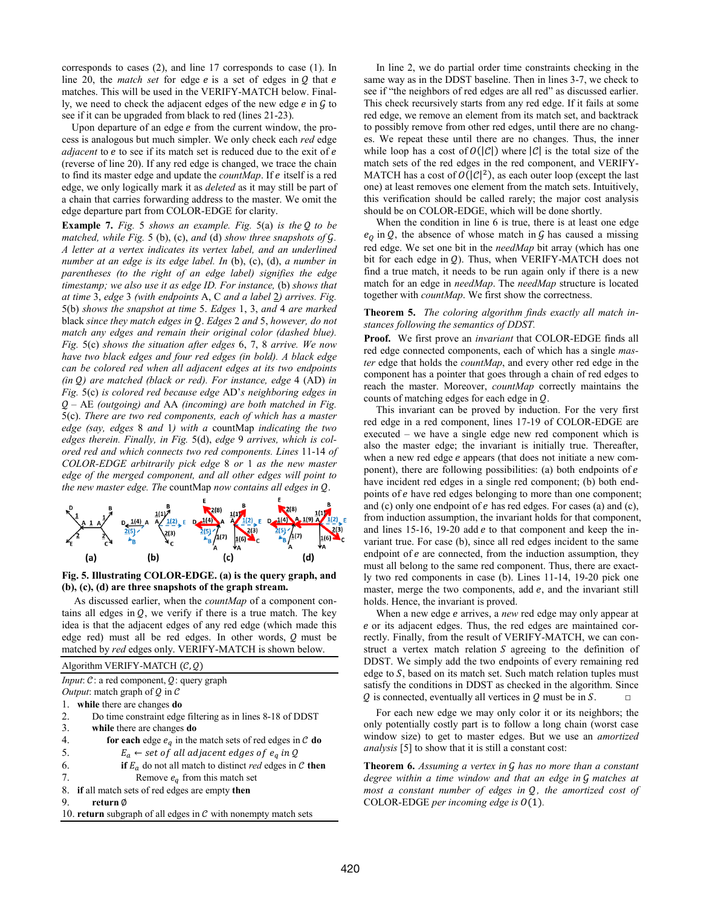corresponds to cases (2), and line 17 corresponds to case (1). In line 20, the *match set* for edge  $e$  is a set of edges in  $Q$  that  $e$ matches. This will be used in the VERIFY-MATCH below. Finally, we need to check the adjacent edges of the new edge  $e$  in  $\mathcal G$  to see if it can be upgraded from black to red (lines 21-23).

Upon departure of an edge  $e$  from the current window, the process is analogous but much simpler. We only check each *red* edge *adjacent* to *e* to see if its match set is reduced due to the exit of *e* (reverse of line 20). If any red edge is changed, we trace the chain to find its master edge and update the *countMap*. If *e* itself is a red edge, we only logically mark it as *deleted* as it may still be part of a chain that carries forwarding address to the master. We omit the edge departure part from COLOR-EDGE for clarity.

**Example 7.** Fig. 5 shows an example. Fig. 5(a) is the Q to be *matched, while Fig.* 5 (b), (c), *and* (d) *show three snapshots of . A letter at a vertex indicates its vertex label, and an underlined number at an edge is its edge label. In* (b), (c), (d), *a number in parentheses (to the right of an edge label) signifies the edge timestamp; we also use it as edge ID. For instance,* (b) *shows that at time* 3, *edge* 3 *(with endpoints* A, C *and a label* 2*) arrives. Fig.* 5(b) *shows the snapshot at time* 5. *Edges* 1, 3, *and* 4 *are marked* black *since they match edges in* . *Edges* 2 *and* 5, *however, do not match any edges and remain their original color (dashed blue). Fig.* 5(c) *shows the situation after edges* 6, 7, 8 *arrive. We now have two black edges and four red edges (in bold). A black edge can be colored red when all adjacent edges at its two endpoints (in ) are matched (black or red). For instance, edge* 4 (AD) *in Fig.* 5(c) *is colored red because edge* AD'*s neighboring edges in*  – AE *(outgoing) and* AA *(incoming) are both matched in Fig.* 5(c). *There are two red components, each of which has a master edge (say, edges* 8 *and* 1*) with a* countMap *indicating the two edges therein. Finally, in Fig.* 5(d), *edge* 9 *arrives, which is colored red and which connects two red components. Lines* 11-14 *of COLOR-EDGE arbitrarily pick edge* 8 *or* 1 *as the new master edge of the merged component, and all other edges will point to the new master edge. The countMap now contains all edges in Q.* 



**Fig. 5. Illustrating COLOR-EDGE. (a) is the query graph, and (b), (c), (d) are three snapshots of the graph stream.**

As discussed earlier, when the *countMap* of a component contains all edges in  $Q$ , we verify if there is a true match. The key idea is that the adjacent edges of any red edge (which made this edge red) must all be red edges. In other words,  $Q$  must be matched by *red* edges only. VERIFY-MATCH is shown below.

| Algorithm VERIFY-MATCH $(C, Q)$                                             |  |  |  |  |  |  |
|-----------------------------------------------------------------------------|--|--|--|--|--|--|
| <i>Input:</i> $C$ : a red component, $Q$ : query graph                      |  |  |  |  |  |  |
| <i>Output</i> : match graph of Q in $\mathcal C$                            |  |  |  |  |  |  |
| while there are changes do<br>1.                                            |  |  |  |  |  |  |
| Do time constraint edge filtering as in lines 8-18 of DDST<br>2.            |  |  |  |  |  |  |
| 3.<br>while there are changes do                                            |  |  |  |  |  |  |
| for each edge $e_q$ in the match sets of red edges in $\mathcal C$ do<br>4. |  |  |  |  |  |  |
| $E_a \leftarrow$ set of all adjacent edges of $e_a$ in Q<br>5.              |  |  |  |  |  |  |
| if $E_a$ do not all match to distinct <i>red</i> edges in C then<br>6.      |  |  |  |  |  |  |
| Remove $e_a$ from this match set<br>7.                                      |  |  |  |  |  |  |
| 8.<br>if all match sets of red edges are empty then                         |  |  |  |  |  |  |
| 9.<br>return Ø                                                              |  |  |  |  |  |  |
| 10. <b>return</b> subgraph of all edges in $C$ with nonempty match sets     |  |  |  |  |  |  |

In line 2, we do partial order time constraints checking in the same way as in the DDST baseline. Then in lines 3-7, we check to see if "the neighbors of red edges are all red" as discussed earlier. This check recursively starts from any red edge. If it fails at some red edge, we remove an element from its match set, and backtrack to possibly remove from other red edges, until there are no changes. We repeat these until there are no changes. Thus, the inner while loop has a cost of  $O(|\mathcal{C}|)$  where  $|\mathcal{C}|$  is the total size of the match sets of the red edges in the red component, and VERIFY-MATCH has a cost of  $O(|\mathcal{C}|^2)$ , as each outer loop (except the last one) at least removes one element from the match sets. Intuitively, this verification should be called rarely; the major cost analysis should be on COLOR-EDGE, which will be done shortly.

When the condition in line 6 is true, there is at least one edge  $e_0$  in Q, the absence of whose match in G has caused a missing red edge. We set one bit in the *needMap* bit array (which has one bit for each edge in  $Q$ ). Thus, when VERIFY-MATCH does not find a true match, it needs to be run again only if there is a new match for an edge in *needMap*. The *needMap* structure is located together with *countMap*. We first show the correctness.

#### **Theorem 5.** *The coloring algorithm finds exactly all match instances following the semantics of DDST.*

**Proof.** We first prove an *invariant* that COLOR-EDGE finds all red edge connected components, each of which has a single *master* edge that holds the *countMap*, and every other red edge in the component has a pointer that goes through a chain of red edges to reach the master. Moreover, *countMap* correctly maintains the counts of matching edges for each edge in  $Q$ .

This invariant can be proved by induction. For the very first red edge in a red component, lines 17-19 of COLOR-EDGE are executed – we have a single edge new red component which is also the master edge; the invariant is initially true. Thereafter, when a new red edge  $e$  appears (that does not initiate a new component), there are following possibilities: (a) both endpoints of  $e$ have incident red edges in a single red component; (b) both endpoints of *e* have red edges belonging to more than one component; and (c) only one endpoint of  $e$  has red edges. For cases (a) and (c), from induction assumption, the invariant holds for that component, and lines  $15-16$ ,  $19-20$  add  $e$  to that component and keep the invariant true. For case (b), since all red edges incident to the same endpoint of  $e$  are connected, from the induction assumption, they must all belong to the same red component. Thus, there are exactly two red components in case (b). Lines 11-14, 19-20 pick one master, merge the two components, add  $e$ , and the invariant still holds. Hence, the invariant is proved.

When a new edge *e* arrives, a *new* red edge may only appear at e or its adjacent edges. Thus, the red edges are maintained correctly. Finally, from the result of VERIFY-MATCH, we can construct a vertex match relation  $S$  agreeing to the definition of DDST. We simply add the two endpoints of every remaining red edge to  $S$ , based on its match set. Such match relation tuples must satisfy the conditions in DDST as checked in the algorithm. Since Q is connected, eventually all vertices in Q must be in  $S$ .  $\Box$ 

For each new edge we may only color it or its neighbors; the only potentially costly part is to follow a long chain (worst case window size) to get to master edges. But we use an *amortized analysis* [5] to show that it is still a constant cost:

**Theorem 6.** *Assuming a vertex in has no more than a constant degree within a time window and that an edge in G matches at most a constant number of edges in Q, the amortized cost of* COLOR-EDGE *per incoming edge is*  $O(1)$ *.*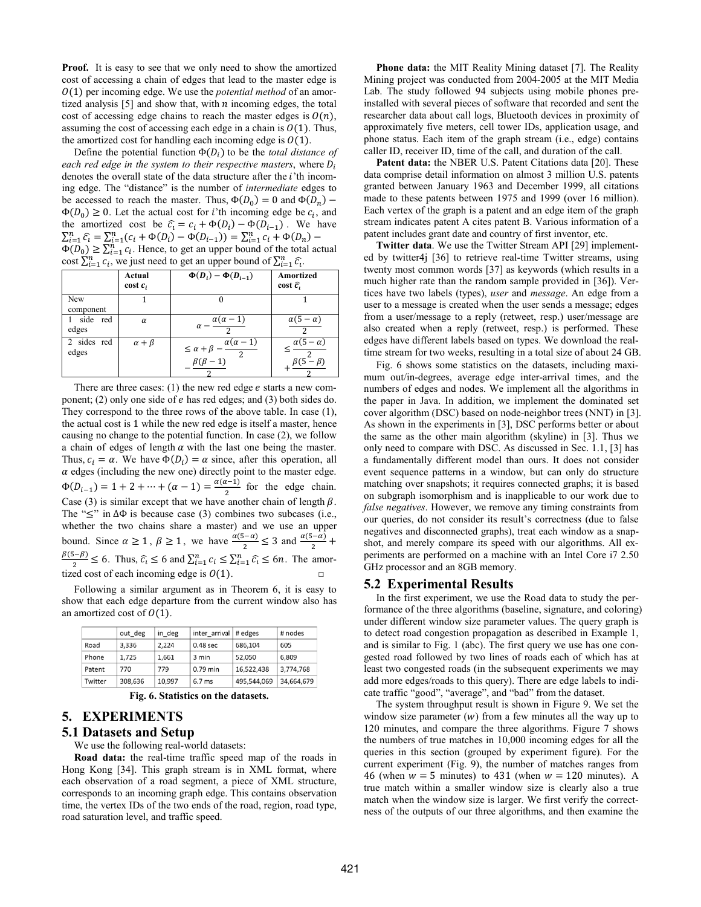**Proof.** It is easy to see that we only need to show the amortized cost of accessing a chain of edges that lead to the master edge is  $(0)(1)$  per incoming edge. We use the *potential method* of an amortized analysis  $[5]$  and show that, with *n* incoming edges, the total cost of accessing edge chains to reach the master edges is  $O(n)$ , assuming the cost of accessing each edge in a chain is  $O(1)$ . Thus, the amortized cost for handling each incoming edge is  $O(1)$ .

Define the potential function  $\Phi(D_i)$  to be the *total distance of each red edge in the system to their respective masters*, where denotes the overall state of the data structure after the  $i$ 'th incoming edge. The "distance" is the number of *intermediate* edges to be accessed to reach the master. Thus,  $\Phi(D_0) = 0$  and  $\Phi(D_n)$  –  $\Phi(D_0) \ge 0$ . Let the actual cost for *i*'th incoming edge be  $c_i$ , and the amortized cost be  $\hat{c}_i = c_i + \Phi(D_i) - \Phi(D_{i-1})$ . We have  $\sum_{i=1}^{n} \widehat{c}_i = \sum_{i=1}^{n} (c_i + \Phi(D_i) - \Phi(D_{i-1})) = \sum_{i=1}^{n} c_i + \Phi(D_n) \Phi(D_0) \geq \sum_{i=1}^n c_i$ . Hence, to get an upper bound of the total actual cost  $\sum_{i=1}^{n} c_i$ , we just need to get an upper bound of  $\sum_{i=1}^{n} \widehat{c}_i$ .

| $-1$                 |                          |                                                                                      | $-1$                                                            |
|----------------------|--------------------------|--------------------------------------------------------------------------------------|-----------------------------------------------------------------|
|                      | Actual<br>$\cos t$ $c_i$ | $\Phi(D_i) - \Phi(D_{i-1})$                                                          | Amortized<br>cost $\hat{c}$ ,                                   |
| New<br>component     |                          |                                                                                      |                                                                 |
| 1 side red<br>edges  | α                        | $\alpha - \frac{\alpha(\alpha-1)}{2}$                                                | $\alpha(5-\alpha)$                                              |
| 2 sides red<br>edges | $\alpha + \beta$         | $\leq \alpha + \beta - \frac{\alpha(\alpha - 1)}{2}$<br>$\frac{\beta(\beta - 1)}{2}$ | $\leq \frac{\alpha(5-\alpha)}{2}$<br>$\frac{\beta(5-\beta)}{2}$ |

There are three cases:  $(1)$  the new red edge  $e$  starts a new component; (2) only one side of  $e$  has red edges; and (3) both sides do. They correspond to the three rows of the above table. In case (1), the actual cost is 1 while the new red edge is itself a master, hence causing no change to the potential function. In case (2), we follow a chain of edges of length  $\alpha$  with the last one being the master. Thus,  $c_i = \alpha$ . We have  $\Phi(D_i) = \alpha$  since, after this operation, all  $\alpha$  edges (including the new one) directly point to the master edge.  $\Phi(D_{i-1}) = 1 + 2 + \dots + (\alpha - 1) = \frac{\alpha(\alpha - 1)}{2}$  for the edge chain. Case (3) is similar except that we have another chain of length  $\beta$ . The " $\leq$ " in  $\Delta \Phi$  is because case (3) combines two subcases (i.e., whether the two chains share a master) and we use an upper bound. Since  $\alpha \ge 1$ ,  $\beta \ge 1$ , we have  $\frac{\alpha(5-\alpha)}{2} \le 3$  and  $\frac{\alpha(5-\alpha)}{2} + \frac{\beta(5-\beta)}{2} \le 6$ . Thus,  $\widehat{c}_i \le 6$  and  $\sum_{i=1}^n c_i \le \sum_{i=1}^n \widehat{c}_i \le 6n$ . The amortized cost of each incoming edge is  $O(1)$ .

Following a similar argument as in Theorem 6, it is easy to show that each edge departure from the current window also has an amortized cost of  $O(1)$ .

|                    | out deg | in deg | inter arrival $#$ edges |             | # nodes    |  |
|--------------------|---------|--------|-------------------------|-------------|------------|--|
| Road               | 3.336   | 2.224  | 0.48 sec                | 686.104     | 605        |  |
| Phone              | 1.725   | 1.661  | 3 min                   | 52.050      | 6.809      |  |
| Patent             | 770     | 779    | 0.79 min                | 16.522.438  | 3,774,768  |  |
| 308,636<br>Twitter |         | 10,997 | $6.7$ ms                | 495,544,069 | 34,664,679 |  |

**Fig. 6. Statistics on the datasets.**

#### **5. EXPERIMENTS**

## **5.1 Datasets and Setup**

We use the following real-world datasets:

**Road data:** the real-time traffic speed map of the roads in Hong Kong [34]. This graph stream is in XML format, where each observation of a road segment, a piece of XML structure, corresponds to an incoming graph edge. This contains observation time, the vertex IDs of the two ends of the road, region, road type, road saturation level, and traffic speed.

**Phone data:** the MIT Reality Mining dataset [7]. The Reality Mining project was conducted from 2004-2005 at the MIT Media Lab. The study followed 94 subjects using mobile phones preinstalled with several pieces of software that recorded and sent the researcher data about call logs, Bluetooth devices in proximity of approximately five meters, cell tower IDs, application usage, and phone status. Each item of the graph stream (i.e., edge) contains caller ID, receiver ID, time of the call, and duration of the call.

Patent data: the NBER U.S. Patent Citations data [20]. These data comprise detail information on almost 3 million U.S. patents granted between January 1963 and December 1999, all citations made to these patents between 1975 and 1999 (over 16 million). Each vertex of the graph is a patent and an edge item of the graph stream indicates patent A cites patent B. Various information of a patent includes grant date and country of first inventor, etc.

**Twitter data**. We use the Twitter Stream API [29] implemented by twitter4j [36] to retrieve real-time Twitter streams, using twenty most common words [37] as keywords (which results in a much higher rate than the random sample provided in [36]). Vertices have two labels (types), *user* and *message*. An edge from a user to a message is created when the user sends a message; edges from a user/message to a reply (retweet, resp.) user/message are also created when a reply (retweet, resp.) is performed. These edges have different labels based on types. We download the realtime stream for two weeks, resulting in a total size of about 24 GB.

Fig. 6 shows some statistics on the datasets, including maximum out/in-degrees, average edge inter-arrival times, and the numbers of edges and nodes. We implement all the algorithms in the paper in Java. In addition, we implement the dominated set cover algorithm (DSC) based on node-neighbor trees (NNT) in [3]. As shown in the experiments in [3], DSC performs better or about the same as the other main algorithm (skyline) in [3]. Thus we only need to compare with DSC. As discussed in Sec. 1.1, [3] has a fundamentally different model than ours. It does not consider event sequence patterns in a window, but can only do structure matching over snapshots; it requires connected graphs; it is based on subgraph isomorphism and is inapplicable to our work due to *false negatives*. However, we remove any timing constraints from our queries, do not consider its result's correctness (due to false negatives and disconnected graphs), treat each window as a snapshot, and merely compare its speed with our algorithms. All experiments are performed on a machine with an Intel Core i7 2.50 GHz processor and an 8GB memory.

#### **5.2 Experimental Results**

In the first experiment, we use the Road data to study the performance of the three algorithms (baseline, signature, and coloring) under different window size parameter values. The query graph is to detect road congestion propagation as described in Example 1, and is similar to Fig. 1 (abc). The first query we use has one congested road followed by two lines of roads each of which has at least two congested roads (in the subsequent experiments we may add more edges/roads to this query). There are edge labels to indicate traffic "good", "average", and "bad" from the dataset.

The system throughput result is shown in Figure 9. We set the window size parameter  $(w)$  from a few minutes all the way up to 120 minutes, and compare the three algorithms. Figure 7 shows the numbers of true matches in 10,000 incoming edges for all the queries in this section (grouped by experiment figure). For the current experiment (Fig. 9), the number of matches ranges from 46 (when  $w = 5$  minutes) to 431 (when  $w = 120$  minutes). A true match within a smaller window size is clearly also a true match when the window size is larger. We first verify the correctness of the outputs of our three algorithms, and then examine the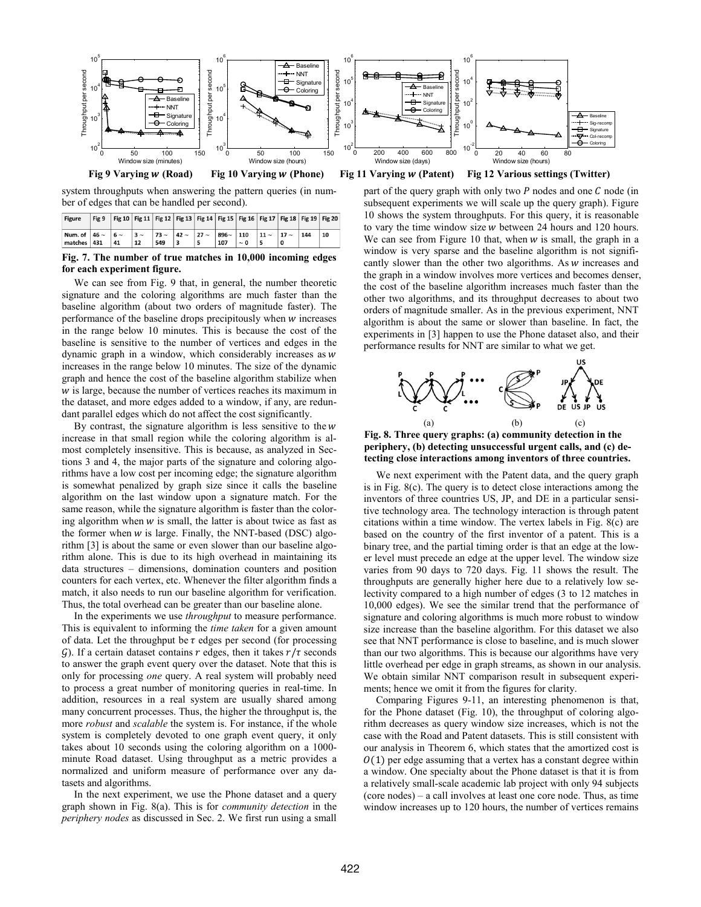

system throughputs when answering the pattern queries (in number of edges that can be handled per second).

| <b>Figure</b>                               | Fig 9 |    |                 |     |  |                                                            |          |                   |           |     | Fig 10   Fig 11   Fig 12   Fig 13   Fig 14   Fig 15   Fig 16   Fig 17   Fig 18   Fig 19   Fig 20 |
|---------------------------------------------|-------|----|-----------------|-----|--|------------------------------------------------------------|----------|-------------------|-----------|-----|--------------------------------------------------------------------------------------------------|
| Num. of $ 46 \sim  6 \sim$<br>matches   431 |       | 41 | $ 3 \sim$<br>12 | 549 |  | $ 73 \sim  42 \sim  27 \sim  896 \sim  110 \rangle$<br>107 | $\sim$ 0 | $\vert$ 11 $\sim$ | $17~\sim$ | 144 |                                                                                                  |

#### **Fig. 7. The number of true matches in 10,000 incoming edges for each experiment figure.**

We can see from Fig. 9 that, in general, the number theoretic signature and the coloring algorithms are much faster than the baseline algorithm (about two orders of magnitude faster). The performance of the baseline drops precipitously when  $w$  increases in the range below 10 minutes. This is because the cost of the baseline is sensitive to the number of vertices and edges in the dynamic graph in a window, which considerably increases as  $w$ increases in the range below 10 minutes. The size of the dynamic graph and hence the cost of the baseline algorithm stabilize when  $w$  is large, because the number of vertices reaches its maximum in the dataset, and more edges added to a window, if any, are redundant parallel edges which do not affect the cost significantly.

By contrast, the signature algorithm is less sensitive to the  $w$ increase in that small region while the coloring algorithm is almost completely insensitive. This is because, as analyzed in Sections 3 and 4, the major parts of the signature and coloring algorithms have a low cost per incoming edge; the signature algorithm is somewhat penalized by graph size since it calls the baseline algorithm on the last window upon a signature match. For the same reason, while the signature algorithm is faster than the coloring algorithm when  $w$  is small, the latter is about twice as fast as the former when  $w$  is large. Finally, the NNT-based (DSC) algorithm [3] is about the same or even slower than our baseline algorithm alone. This is due to its high overhead in maintaining its data structures – dimensions, domination counters and position counters for each vertex, etc. Whenever the filter algorithm finds a match, it also needs to run our baseline algorithm for verification. Thus, the total overhead can be greater than our baseline alone.

In the experiments we use *throughput* to measure performance. This is equivalent to informing the *time taken* for a given amount of data. Let the throughput be  $\tau$  edges per second (for processing  $\mathcal{G}$ ). If a certain dataset contains r edges, then it takes  $r/\tau$  seconds to answer the graph event query over the dataset. Note that this is only for processing *one* query. A real system will probably need to process a great number of monitoring queries in real-time. In addition, resources in a real system are usually shared among many concurrent processes. Thus, the higher the throughput is, the more *robust* and *scalable* the system is. For instance, if the whole system is completely devoted to one graph event query, it only takes about 10 seconds using the coloring algorithm on a 1000 minute Road dataset. Using throughput as a metric provides a normalized and uniform measure of performance over any datasets and algorithms.

In the next experiment, we use the Phone dataset and a query graph shown in Fig. 8(a). This is for *community detection* in the *periphery nodes* as discussed in Sec. 2. We first run using a small



part of the query graph with only two  $P$  nodes and one  $C$  node (in subsequent experiments we will scale up the query graph). Figure 10 shows the system throughputs. For this query, it is reasonable to vary the time window size  $w$  between 24 hours and 120 hours. We can see from Figure 10 that, when  $w$  is small, the graph in a window is very sparse and the baseline algorithm is not significantly slower than the other two algorithms. As  *increases and* the graph in a window involves more vertices and becomes denser, the cost of the baseline algorithm increases much faster than the other two algorithms, and its throughput decreases to about two orders of magnitude smaller. As in the previous experiment, NNT algorithm is about the same or slower than baseline. In fact, the experiments in [3] happen to use the Phone dataset also, and their performance results for NNT are similar to what we get.



**Fig. 8. Three query graphs: (a) community detection in the periphery, (b) detecting unsuccessful urgent calls, and (c) detecting close interactions among inventors of three countries.**

We next experiment with the Patent data, and the query graph is in Fig. 8(c). The query is to detect close interactions among the inventors of three countries US, JP, and DE in a particular sensitive technology area. The technology interaction is through patent citations within a time window. The vertex labels in Fig. 8(c) are based on the country of the first inventor of a patent. This is a binary tree, and the partial timing order is that an edge at the lower level must precede an edge at the upper level. The window size varies from 90 days to 720 days. Fig. 11 shows the result. The throughputs are generally higher here due to a relatively low selectivity compared to a high number of edges (3 to 12 matches in 10,000 edges). We see the similar trend that the performance of signature and coloring algorithms is much more robust to window size increase than the baseline algorithm. For this dataset we also see that NNT performance is close to baseline, and is much slower than our two algorithms. This is because our algorithms have very little overhead per edge in graph streams, as shown in our analysis. We obtain similar NNT comparison result in subsequent experiments; hence we omit it from the figures for clarity.

Comparing Figures 9-11, an interesting phenomenon is that, for the Phone dataset (Fig. 10), the throughput of coloring algorithm decreases as query window size increases, which is not the case with the Road and Patent datasets. This is still consistent with our analysis in Theorem 6, which states that the amortized cost is  $(1)$  per edge assuming that a vertex has a constant degree within a window. One specialty about the Phone dataset is that it is from a relatively small-scale academic lab project with only 94 subjects (core nodes) – a call involves at least one core node. Thus, as time window increases up to 120 hours, the number of vertices remains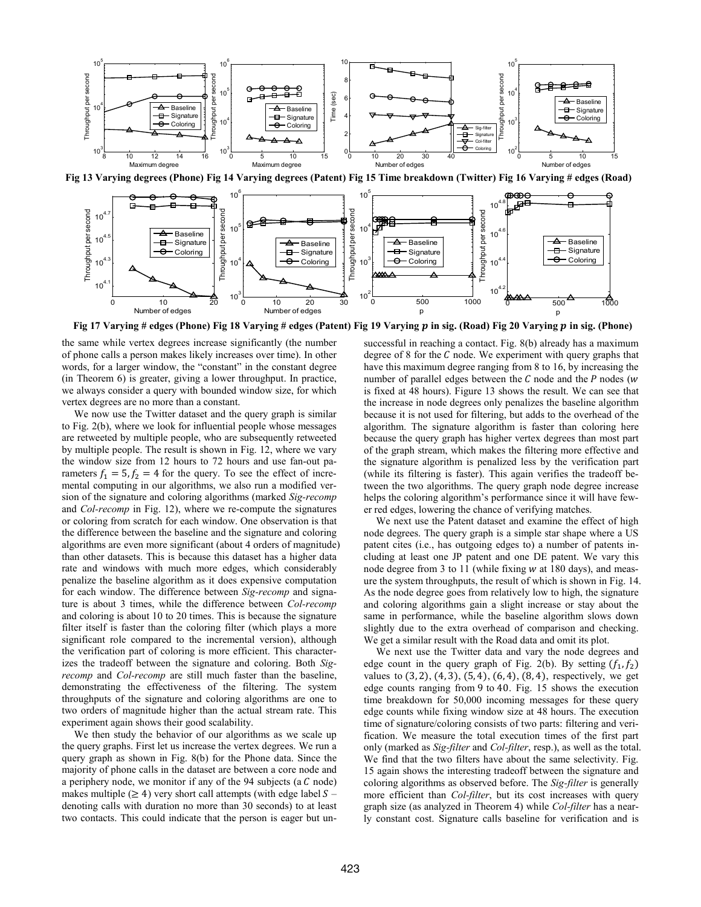

**Fig 13 Varying degrees (Phone) Fig 14 Varying degrees (Patent) Fig 15 Time breakdown (Twitter) Fig 16 Varying # edges (Road)**



 **Fig 17 Varying # edges (Phone) Fig 18 Varying # edges (Patent) Fig 19 Varying in sig. (Road) Fig 20 Varying in sig. (Phone)**

the same while vertex degrees increase significantly (the number of phone calls a person makes likely increases over time). In other words, for a larger window, the "constant" in the constant degree (in Theorem 6) is greater, giving a lower throughput. In practice, we always consider a query with bounded window size, for which vertex degrees are no more than a constant.

We now use the Twitter dataset and the query graph is similar to Fig. 2(b), where we look for influential people whose messages are retweeted by multiple people, who are subsequently retweeted by multiple people. The result is shown in Fig. 12, where we vary the window size from 12 hours to 72 hours and use fan-out parameters  $f_1 = 5$ ,  $f_2 = 4$  for the query. To see the effect of incremental computing in our algorithms, we also run a modified version of the signature and coloring algorithms (marked *Sig-recomp* and *Col-recomp* in Fig. 12), where we re-compute the signatures or coloring from scratch for each window. One observation is that the difference between the baseline and the signature and coloring algorithms are even more significant (about 4 orders of magnitude) than other datasets. This is because this dataset has a higher data rate and windows with much more edges, which considerably penalize the baseline algorithm as it does expensive computation for each window. The difference between *Sig-recomp* and signature is about 3 times, while the difference between *Col-recomp* and coloring is about 10 to 20 times. This is because the signature filter itself is faster than the coloring filter (which plays a more significant role compared to the incremental version), although the verification part of coloring is more efficient. This characterizes the tradeoff between the signature and coloring. Both *Sigrecomp* and *Col-recomp* are still much faster than the baseline, demonstrating the effectiveness of the filtering. The system throughputs of the signature and coloring algorithms are one to two orders of magnitude higher than the actual stream rate. This experiment again shows their good scalability.

We then study the behavior of our algorithms as we scale up the query graphs. First let us increase the vertex degrees. We run a query graph as shown in Fig. 8(b) for the Phone data. Since the majority of phone calls in the dataset are between a core node and a periphery node, we monitor if any of the 94 subjects (a  $C$  node) makes multiple ( $\geq$  4) very short call attempts (with edge label S – denoting calls with duration no more than 30 seconds) to at least two contacts. This could indicate that the person is eager but unsuccessful in reaching a contact. Fig. 8(b) already has a maximum degree of 8 for the  $C$  node. We experiment with query graphs that have this maximum degree ranging from 8 to 16, by increasing the number of parallel edges between the  $C$  node and the  $P$  nodes ( $w$ is fixed at 48 hours). Figure 13 shows the result. We can see that the increase in node degrees only penalizes the baseline algorithm because it is not used for filtering, but adds to the overhead of the algorithm. The signature algorithm is faster than coloring here because the query graph has higher vertex degrees than most part of the graph stream, which makes the filtering more effective and the signature algorithm is penalized less by the verification part (while its filtering is faster). This again verifies the tradeoff between the two algorithms. The query graph node degree increase helps the coloring algorithm's performance since it will have fewer red edges, lowering the chance of verifying matches.

We next use the Patent dataset and examine the effect of high node degrees. The query graph is a simple star shape where a US patent cites (i.e., has outgoing edges to) a number of patents including at least one JP patent and one DE patent. We vary this node degree from 3 to 11 (while fixing  $w$  at 180 days), and measure the system throughputs, the result of which is shown in Fig. 14. As the node degree goes from relatively low to high, the signature and coloring algorithms gain a slight increase or stay about the same in performance, while the baseline algorithm slows down slightly due to the extra overhead of comparison and checking. We get a similar result with the Road data and omit its plot.

We next use the Twitter data and vary the node degrees and edge count in the query graph of Fig. 2(b). By setting  $(f_1, f_2)$ values to  $(3, 2)$ ,  $(4, 3)$ ,  $(5, 4)$ ,  $(6, 4)$ ,  $(8, 4)$ , respectively, we get edge counts ranging from 9 to 40. Fig. 15 shows the execution time breakdown for 50,000 incoming messages for these query edge counts while fixing window size at 48 hours. The execution time of signature/coloring consists of two parts: filtering and verification. We measure the total execution times of the first part only (marked as *Sig-filter* and *Col-filter*, resp.), as well as the total. We find that the two filters have about the same selectivity. Fig. 15 again shows the interesting tradeoff between the signature and coloring algorithms as observed before. The *Sig-filter* is generally more efficient than *Col-filter*, but its cost increases with query graph size (as analyzed in Theorem 4) while *Col-filter* has a nearly constant cost. Signature calls baseline for verification and is